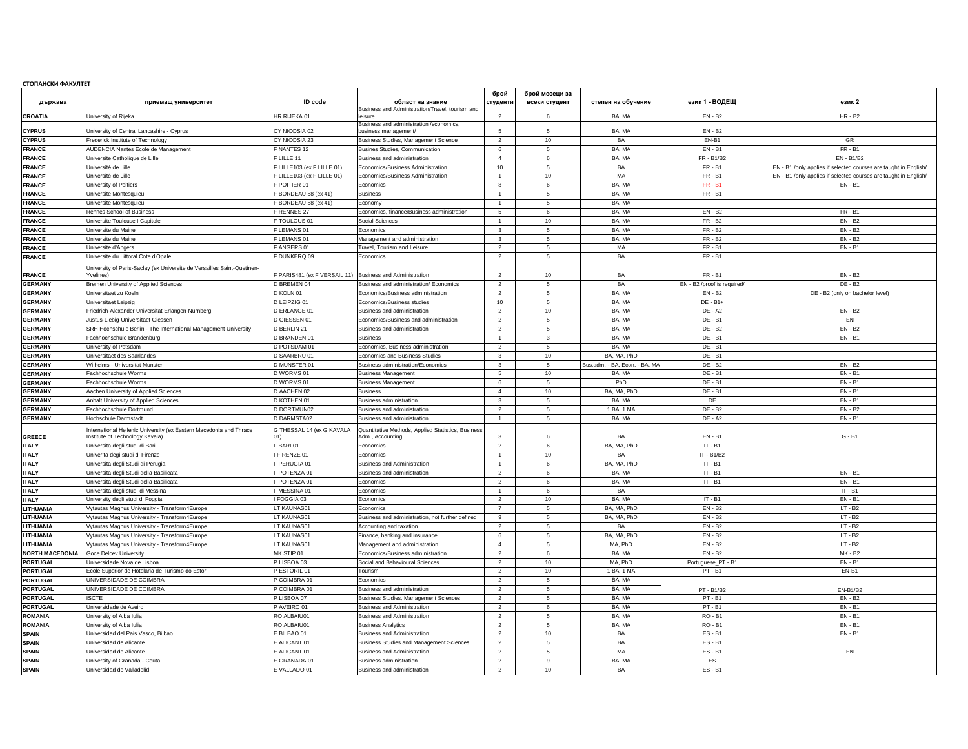## **СТОПАНСКИ ФАКУЛТЕТ**

| държава                            | приемащ университет                                                                            | <b>ID</b> code                                           | област на знание                                                                   | брой<br>студенти                 | брой месеци за<br>всеки студент | степен на обучение            | език 1 - ВОДЕЩ                | език 2                                                           |
|------------------------------------|------------------------------------------------------------------------------------------------|----------------------------------------------------------|------------------------------------------------------------------------------------|----------------------------------|---------------------------------|-------------------------------|-------------------------------|------------------------------------------------------------------|
|                                    |                                                                                                |                                                          | Business and Administration/Travel, tourism and                                    |                                  |                                 |                               |                               |                                                                  |
| <b>CROATIA</b>                     | University of Rijeka                                                                           | HR RIJEKA 01                                             | leisure<br>Business and administration /economics,                                 | $\overline{2}$                   | 6                               | BA, MA                        | $EN - B2$                     | $HR - B2$                                                        |
| <b>CYPRUS</b>                      | University of Central Lancashire - Cyprus                                                      | CY NICOSIA 02                                            | business management/                                                               | $\mathbf{r}$                     | 5                               | BA, MA                        | $EN - B2$                     |                                                                  |
| <b>CYPRUS</b>                      | Frederick Institute of Technology                                                              | CY NICOSIA 23                                            | Business Studies, Management Science                                               | $\overline{2}$                   | 10                              | BA                            | EN-B1                         | GR                                                               |
| <b>FRANCE</b>                      | AUDENCIA Nantes Ecole de Management                                                            | F NANTES 12                                              | Busines Studies, Communication                                                     | 6                                | $5\phantom{.0}$                 | BA. MA                        | $EN - B1$                     | $FR - B1$                                                        |
| <b>FRANCE</b>                      | Universite Catholique de Lille                                                                 | F LILL F 11                                              | Business and administration                                                        | $\overline{4}$                   | 6                               | BA, MA                        | FR - B1/B2                    | EN - B1/B2                                                       |
| <b>FRANCE</b>                      | Université de Lille                                                                            | F LILLE103 (ex F LILLE 01)                               | Economics/Business Administration                                                  | 10                               | 5                               | BA                            | FR - B1                       | EN - B1 /only applies if selected courses are taught in English/ |
| <b>FRANCE</b>                      | Université de Lille                                                                            | LILLE103 (ex F LILLE 01)                                 | Economics/Business Administration                                                  | $\mathbf{1}$                     | 10                              | MA                            | $FR - B1$                     | EN - B1 /only applies if selected courses are taught in English/ |
| <b>FRANCE</b>                      | University of Poitiers                                                                         | POITIER 01                                               | Economics                                                                          | 8                                | 6                               | BA, MA                        | $FR - B1$                     | $EN - B$                                                         |
| <b>FRANCE</b>                      | Universite Montesquieu                                                                         | BORDEAU 58 (ex 41)                                       | <b>Business</b>                                                                    | $\overline{1}$                   | 5                               | BA. MA                        | <b>FR-B1</b>                  |                                                                  |
| <b>FRANCE</b>                      | Universite Montesquieu                                                                         | BORDEAU 58 (ex 41)                                       | Economv                                                                            |                                  | 5                               | BA. MA                        |                               |                                                                  |
| <b>FRANCE</b>                      | Rennes School of Business                                                                      | <b>RENNES 27</b>                                         | Economics, finance/Business administration                                         | 5                                | 6                               | BA, MA                        | $EN - B2$                     | $FR - B1$                                                        |
| <b>FRANCE</b>                      | Universite Toulouse I Capitole                                                                 | TOULOUS 01                                               | <b>Social Sciences</b>                                                             | $\overline{1}$                   | 10                              | BA, MA                        | FR - B2                       | $EN - B2$                                                        |
| <b>FRANCE</b>                      | Universite du Maine                                                                            | LEMANS 01                                                | Economics                                                                          | $\mathbf{3}$                     | -5                              | BA, MA                        | FR - B2                       | <b>EN - B2</b>                                                   |
| <b>FRANCE</b>                      | Universite du Maine                                                                            | LEMANS 01                                                | Management and administration                                                      | $\mathbf{3}$                     | -5                              | BA. MA                        | $FR - B2$                     | $EN - B2$                                                        |
| <b>FRANCE</b>                      | Universite d'Angers                                                                            | ANGERS 01                                                | <b>Travel, Tourism and Leisure</b>                                                 | $\overline{2}$                   | 5                               | MA                            | <b>FR - B1</b>                | $EN - B1$                                                        |
| <b>FRANCE</b>                      | Universite du Littoral Cote d'Opale                                                            | DUNKERQ 09                                               | Fconomics                                                                          | $\overline{2}$                   | 5                               | BA                            | $FR - B1$                     |                                                                  |
| <b>FRANCE</b>                      | University of Paris-Saclay (ex Universite de Versailles Saint-Quetinen-<br>Yvelines)           | F PARIS481 (ex F VERSAIL 11) Business and Administration |                                                                                    | $\overline{2}$                   | 10                              | <b>BA</b>                     | FR - B1                       | EN - B2                                                          |
| <b>GERMANY</b>                     | Bremen University of Applied Sciences                                                          | <b>D BREMEN 04</b>                                       | Business and administration/ Economics                                             | $\overline{2}$                   | 5                               | <b>BA</b>                     | EN - B2 /proof is required/   | $DF - B2$                                                        |
| <b>GERMANY</b>                     | Universitaet zu Koeln                                                                          | D KOLN 01                                                | Economics/Business administration                                                  | $\overline{2}$                   | 5                               | BA, MA                        | EN - B2                       | DE - B2 (only on bachelor level)                                 |
| <b>GERMANY</b>                     | Universitaet Leipzig                                                                           | D LEIPZIG 01                                             | Economics/Business studies                                                         | 10                               | 5                               | BA, MA                        | DE - B1+                      |                                                                  |
| <b>GERMANY</b>                     | Friedrich-Alexander Universitat Erlangen-Nurnberg                                              | <b>D ERLANGE 01</b>                                      | <b>Business and administration</b>                                                 | 2                                | 10                              | BA. MA                        | $DE - A2$                     | $EN - B2$                                                        |
| <b>GERMANY</b>                     | Justus-Liebig-Universitaet Giesser                                                             | D GIESSEN 01                                             | Economics/Business and administration                                              | $\overline{2}$                   | 5                               | BA, MA                        | DE - B1                       | EN                                                               |
| <b>GERMANY</b>                     | SRH Hochschule Berlin - The International Management University                                | D BERLIN 21                                              | Business and administration                                                        | $\overline{2}$                   | 5                               | BA. MA                        | $DE - B2$                     | $EN - B2$                                                        |
| <b>GERMANY</b>                     | Fachhochschule Brandenburg                                                                     | D BRANDEN 01                                             | <b>Business</b>                                                                    | $\overline{1}$                   | $\mathbf{3}$                    | BA, MA                        | DE - B1                       | $EN - B1$                                                        |
| <b>GERMANY</b>                     | University of Potsdam                                                                          | D POTSDAM 01                                             | Economics, Business administration                                                 | 2                                | -5                              | BA. MA                        | DE - B1                       |                                                                  |
| <b>GERMANY</b>                     | Jniversitaet des Saarlandes                                                                    | D SAARBRU 01                                             | Economics and Business Studies                                                     | $\mathbf{3}$                     | 10                              | BA, MA, PhD                   | DE - B1                       |                                                                  |
| <b>GERMANY</b>                     | Wilhelms - Universitat Munster                                                                 | D MUNSTER 01                                             | Business administration/Economics                                                  | 3                                | 5                               | Bus.adm. - BA, Econ. - BA, MA | DE - B2                       | $EN - B2$                                                        |
| <b>GERMANY</b>                     | Fachhochschule Worms                                                                           | D WORMS 01                                               | <b>Business Management</b>                                                         | $5\overline{5}$                  | 10                              | BA, MA                        | DE - B1                       | $EN - B1$                                                        |
| <b>GERMANY</b>                     | Fachhochschule Worms                                                                           | D WORMS 01                                               | <b>Business Management</b>                                                         | 6                                | 5                               | PhD                           | DE - B1                       | <b>EN - B1</b>                                                   |
| <b>GERMANY</b>                     | Aachen University of Applied Sciences                                                          | D AACHEN 02                                              | <b>Business</b>                                                                    | $\overline{4}$                   | 10                              | BA, MA, PhD                   | DE - B1                       | $EN - B1$                                                        |
| <b>GERMANY</b>                     | Anhalt University of Applied Sciences                                                          | D KOTHEN 01                                              | <b>Business administration</b>                                                     | $\overline{\mathbf{3}}$          | 5                               | BA, MA                        | DE                            | $EN - B1$                                                        |
| <b>GERMANY</b>                     | Fachhochschule Dortmund                                                                        | <b>D DORTMUN02</b>                                       | Business and administration                                                        | $\overline{2}$                   | 5                               | 1 BA, 1 MA                    | $DE - B2$                     | $EN - B2$                                                        |
| <b>GERMANY</b>                     | Hochschule Darmstadt                                                                           | D DARMSTA02                                              | Business and administration                                                        |                                  | -5                              | BA, MA                        | $DE - A2$                     | $EN - B1$                                                        |
|                                    |                                                                                                |                                                          |                                                                                    |                                  |                                 |                               |                               |                                                                  |
|                                    | nternational Hellenic University (ex Eastern Macedonia and Thrace                              | G THESSAL 14 (ex G KAVALA                                | Quantitative Methods, Applied Statistics, Business                                 | $\mathbf{3}$                     | 6                               | <b>BA</b>                     | $EN - B1$                     | $G - B1$                                                         |
| <b>GREECE</b><br><b>ITALY</b>      | nstitute of Technology Kavala)<br>Universita degli studi di Bari                               | 01)<br>BARI 01                                           | Adm., Accounting<br>Economics                                                      | $\overline{2}$                   | 6                               | BA, MA, PhD                   | $IT - B1$                     |                                                                  |
| <b>ITALY</b>                       |                                                                                                | FIRENZE 01                                               |                                                                                    |                                  |                                 |                               | IT - B1/B2                    |                                                                  |
| <b>ITALY</b>                       | Univerita degi studi di Firenze                                                                | PERUGIA 01                                               | Economics<br><b>Business and Administration</b>                                    | $\mathbf{1}$<br>$\overline{1}$   | 10<br>6                         | BA                            | $IT - B1$                     |                                                                  |
|                                    | Universita degli Studi di Perugia                                                              |                                                          |                                                                                    |                                  | 6                               | BA, MA, PhD                   |                               | $EN - B$                                                         |
| <b>ITALY</b><br><b>ITALY</b>       | Universita degli Studi della Basilicata                                                        | POTENZA 01<br>POTENZA 01                                 | Business and administration<br><b>Economics</b>                                    | $\overline{2}$<br>$\overline{2}$ | 6                               | BA, MA<br>BA. MA              | $IT - B1$<br>$IT - B1$        | $EN - B1$                                                        |
|                                    | Universita degli Studi della Basilicata                                                        |                                                          |                                                                                    |                                  |                                 |                               |                               |                                                                  |
| <b>ITALY</b><br><b>ITALY</b>       | Universita degli studi di Messina                                                              | MESSINA 01                                               | Economics<br>Fconomics                                                             | $\overline{1}$<br>2              | 6<br>10                         | BA<br>BA. MA                  | $IT - B1$                     | $IT - B1$<br>$EN - B1$                                           |
|                                    | University degli studi di Foggia                                                               | FOGGIA 03                                                | Economics                                                                          |                                  | 5                               | BA, MA, PhD                   | $EN - B2$                     | $LT - B2$                                                        |
| LITHUANIA<br><b>LITHUANIA</b>      | Vytautas Magnus University - Transform4Europe                                                  | T KAUNAS01                                               |                                                                                    |                                  |                                 |                               |                               | $LT - B2$                                                        |
| LITHUANIA                          | Vytautas Magnus University - Transform4Europe<br>Vytautas Magnus University - Transform4Europe | LT KAUNAS01<br>LT KAUNAS01                               | Business and administration, not further defined                                   | 9<br>$\overline{2}$              | 5<br>$\overline{5}$             | BA, MA, PhD<br><b>BA</b>      | $EN - B2$<br>$EN - B2$        | $LT - B2$                                                        |
| LITHUANIA                          | Vytautas Magnus University - Transform4Europe                                                  |                                                          | Accounting and taxation<br>inance, banking and insurance                           | 6                                | -5                              | BA, MA, PhD                   | EN - B2                       | $LT - B2$                                                        |
| <b>LITHUANIA</b>                   |                                                                                                | LT KAUNAS01<br>T KAUNAS01                                |                                                                                    | $\Delta$                         |                                 | MA, PhD                       | $EN - B2$                     | $LT - B2$                                                        |
| <b>NORTH MACEDONIA</b>             | Vytautas Magnus University - Transform4Europe<br>Goce Delcev University                        | MK STIP 01                                               | Management and administration<br>Economics/Business administration                 | $\overline{2}$                   | 5<br>6                          | BA, MA                        | $EN - B2$                     | MK - B2                                                          |
|                                    |                                                                                                |                                                          |                                                                                    | $\overline{2}$                   | 10                              | MA, PhD                       |                               |                                                                  |
| <b>PORTUGAL</b><br><b>PORTUGAL</b> | Universidade Nova de Lisboa<br>Ecole Superior de Hotelaria de Turismo do Estoril               | P LISBOA 03<br><b>ESTORIL 01</b>                         | Social and Behavioural Sciences<br>Tourism                                         | $\overline{2}$                   | 10                              | 1 BA, 1 MA                    | Portuguese_PT - B1<br>PT - B1 | $EN - B1$<br>EN-B1                                               |
|                                    |                                                                                                |                                                          |                                                                                    |                                  |                                 |                               |                               |                                                                  |
| <b>PORTUGAL</b>                    | UNIVERSIDADE DE COIMBRA                                                                        | P COIMBRA 0                                              | Economics                                                                          | $\overline{2}$                   | 5                               | BA, MA                        |                               |                                                                  |
| <b>PORTUGAL</b>                    | UNIVERSIDADE DE COIMBRA                                                                        | COIMBRA 01                                               | Business and administration                                                        | $\overline{2}$                   | 5                               | BA, MA                        | PT - B1/B2                    | <b>EN-B1/B2</b>                                                  |
| <b>PORTUGAL</b>                    | <b>ISCTE</b>                                                                                   | P LISBOA 07<br>AVEIRO 01                                 | <b>Business Studies, Management Sciences</b><br><b>Business and Administration</b> | $\overline{2}$                   | 5                               | BA, MA<br>BA, MA              | PT - B1<br>$PT - B1$          | $EN - B2$<br>$EN - B1$                                           |
| <b>PORTUGAL</b>                    | Universidade de Aveiro                                                                         |                                                          |                                                                                    | $\overline{2}$                   | 6                               |                               |                               |                                                                  |
| <b>ROMANIA</b>                     | University of Alba Iulia                                                                       | RO ALBAIU01                                              | <b>Business and Administration</b>                                                 | $\overline{2}$<br>$\overline{2}$ | -5                              | BA. MA                        | <b>RO - B1</b>                | $EN - B1$                                                        |
| <b>ROMANIA</b>                     | University of Alba Iulia                                                                       | RO ALBAIU01                                              | <b>Business Analytics</b>                                                          |                                  | -5                              | BA, MA                        | <b>RO - B1</b>                | $EN - B1$                                                        |
| <b>SPAIN</b>                       | Universidad del Pais Vasco, Bilbao                                                             | E BILBAO 01                                              | <b>Business and Administration</b>                                                 | $\overline{2}$                   | 10                              | BA                            | <b>ES-B1</b>                  | $EN - B1$                                                        |
| <b>SPAIN</b><br><b>SPAIN</b>       | Universidad de Alicante                                                                        | E ALICANT 01                                             | <b>Business Studies and Management Sciences</b>                                    | $\overline{2}$                   | 5<br>5                          | BA                            | <b>ES-B1</b>                  |                                                                  |
|                                    | Universidad de Alicante                                                                        | E ALICANT 01                                             | <b>Business and Administration</b>                                                 | 2                                |                                 | MA                            | $ES - B1$                     | EN                                                               |
| <b>SPAIN</b>                       | University of Granada - Ceuta                                                                  | E GRANADA 01                                             | <b>Business administration</b>                                                     | $\overline{2}$                   |                                 | BA, MA                        | ES                            |                                                                  |
| <b>SPAIN</b>                       | Universidad de Valladolid                                                                      | E VALLADO 01                                             | Business and administration                                                        | $\overline{2}$                   | 10                              | BA                            | $ES - B1$                     |                                                                  |